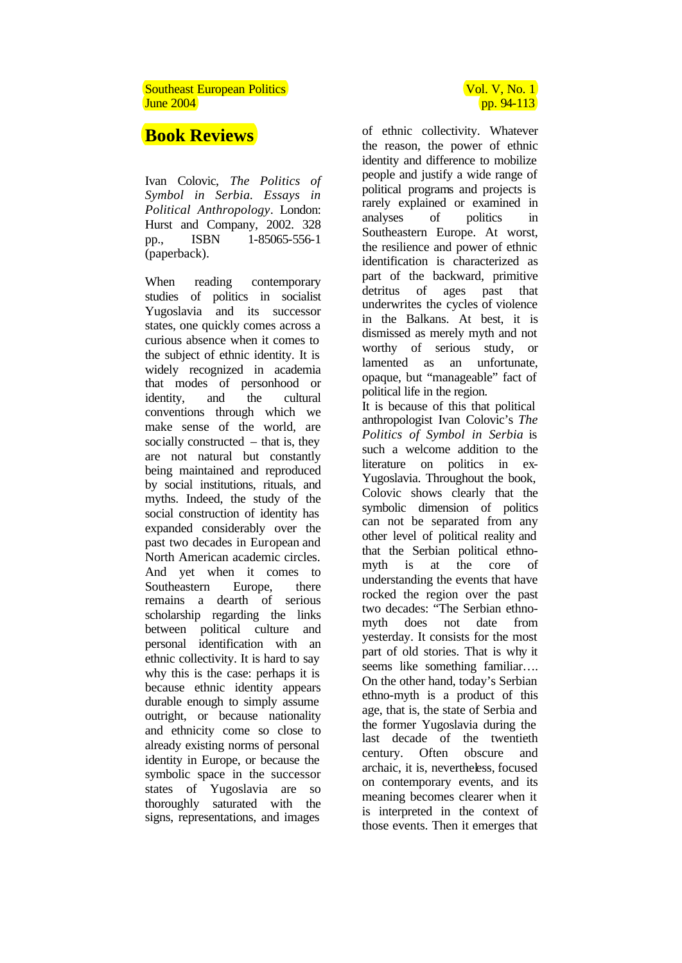## Southeast European Politics **Vol. V, No. 1** Southeast European Politics  $J$ une 2004 pp. 94-113

## **Book Reviews**

Ivan Colovic, *The Politics of Symbol in Serbia. Essays in Political Anthropology*. London: Hurst and Company, 2002. 328 pp., ISBN 1-85065-556-1 (paperback).

When reading contemporary studies of politics in socialist Yugoslavia and its successor states, one quickly comes across a curious absence when it comes to the subject of ethnic identity. It is widely recognized in academia that modes of personhood or identity, and the cultural conventions through which we make sense of the world, are socially constructed – that is, they are not natural but constantly being maintained and reproduced by social institutions, rituals, and myths. Indeed, the study of the social construction of identity has expanded considerably over the past two decades in European and North American academic circles. And yet when it comes to Southeastern Europe, there remains a dearth of serious scholarship regarding the links between political culture and personal identification with an ethnic collectivity. It is hard to say why this is the case: perhaps it is because ethnic identity appears durable enough to simply assume outright, or because nationality and ethnicity come so close to already existing norms of personal identity in Europe, or because the symbolic space in the successor states of Yugoslavia are so thoroughly saturated with the signs, representations, and images

of ethnic collectivity. Whatever

the reason, the power of ethnic identity and difference to mobilize people and justify a wide range of political programs and projects is rarely explained or examined in analyses of politics in Southeastern Europe. At worst, the resilience and power of ethnic identification is characterized as part of the backward, primitive detritus of ages past that underwrites the cycles of violence in the Balkans. At best, it is dismissed as merely myth and not worthy of serious study, or lamented as an unfortunate, opaque, but "manageable" fact of political life in the region. It is because of this that political anthropologist Ivan Colovic's *The Politics of Symbol in Serbia* is such a welcome addition to the literature on politics in ex-Yugoslavia. Throughout the book, Colovic shows clearly that the symbolic dimension of politics can not be separated from any other level of political reality and that the Serbian political ethnomyth is at the core of understanding the events that have rocked the region over the past two decades: "The Serbian ethnomyth does not date from yesterday. It consists for the most part of old stories. That is why it seems like something familiar... On the other hand, today's Serbian ethno-myth is a product of this age, that is, the state of Serbia and the former Yugoslavia during the last decade of the twentieth century. Often obscure and archaic, it is, nevertheless, focused on contemporary events, and its meaning becomes clearer when it is interpreted in the context of those events. Then it emerges that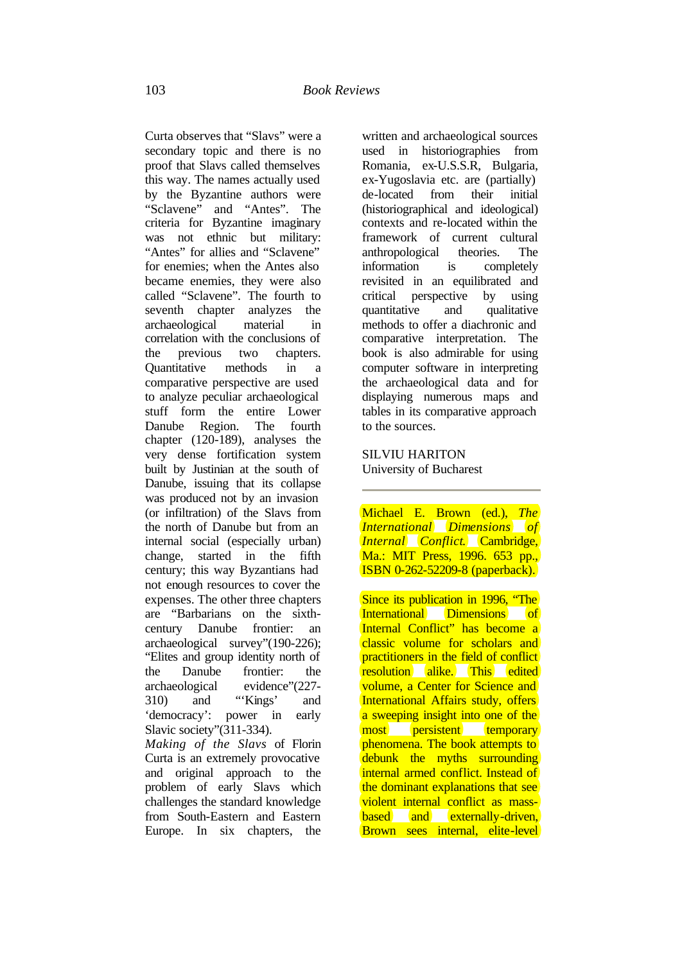Curta observes that "Slavs" were a secondary topic and there is no proof that Slavs called themselves this way. The names actually used by the Byzantine authors were "Sclavene" and "Antes". The criteria for Byzantine imaginary was not ethnic but military: "Antes" for allies and "Sclavene" for enemies; when the Antes also became enemies, they were also called "Sclavene". The fourth to seventh chapter analyzes the archaeological material in correlation with the conclusions of the previous two chapters. Quantitative methods in a comparative perspective are used to analyze peculiar archaeological stuff form the entire Lower Danube Region. The fourth chapter (120-189), analyses the very dense fortification system built by Justinian at the south of Danube, issuing that its collapse was produced not by an invasion (or infiltration) of the Slavs from the north of Danube but from an internal social (especially urban) change, started in the fifth century; this way Byzantians had not enough resources to cover the expenses. The other three chapters are "Barbarians on the sixthcentury Danube frontier: an archaeological survey"(190-226); "Elites and group identity north of the Danube frontier: the archaeological evidence"(227- 310) and "'Kings' and 'democracy': power in early Slavic society"(311-334). *Making of the Slavs* of Florin

Curta is an extremely provocative and original approach to the problem of early Slavs which challenges the standard knowledge from South-Eastern and Eastern Europe. In six chapters, the

written and archaeological sources used in historiographies from Romania, ex-U.S.S.R, Bulgaria, ex-Yugoslavia etc. are (partially) de-located from their initial (historiographical and ideological) contexts and re-located within the framework of current cultural anthropological theories. The information is completely revisited in an equilibrated and critical perspective by using quantitative and qualitative methods to offer a diachronic and comparative interpretation. The book is also admirable for using computer software in interpreting the archaeological data and for displaying numerous maps and tables in its comparative approach to the sources.

## SILVIU HARITON University of Bucharest

Michael E. Brown (ed.), *The International Dimensions of Internal Conflict*. Cambridge, Ma.: MIT Press, 1996. 653 pp., ISBN 0-262-52209-8 (paperback).

Since its publication in 1996, "The International Dimensions of Internal Conflict" has become a classic volume for scholars and practitioners in the field of conflict resolution alike. This edited volume, a Center for Science and International Affairs study, offers a sweeping insight into one of the most persistent temporary phenomena. The book attempts to debunk the myths surrounding internal armed conflict. Instead of the dominant explanations that see violent internal conflict as massbased and externally-driven, Brown sees internal, elite-level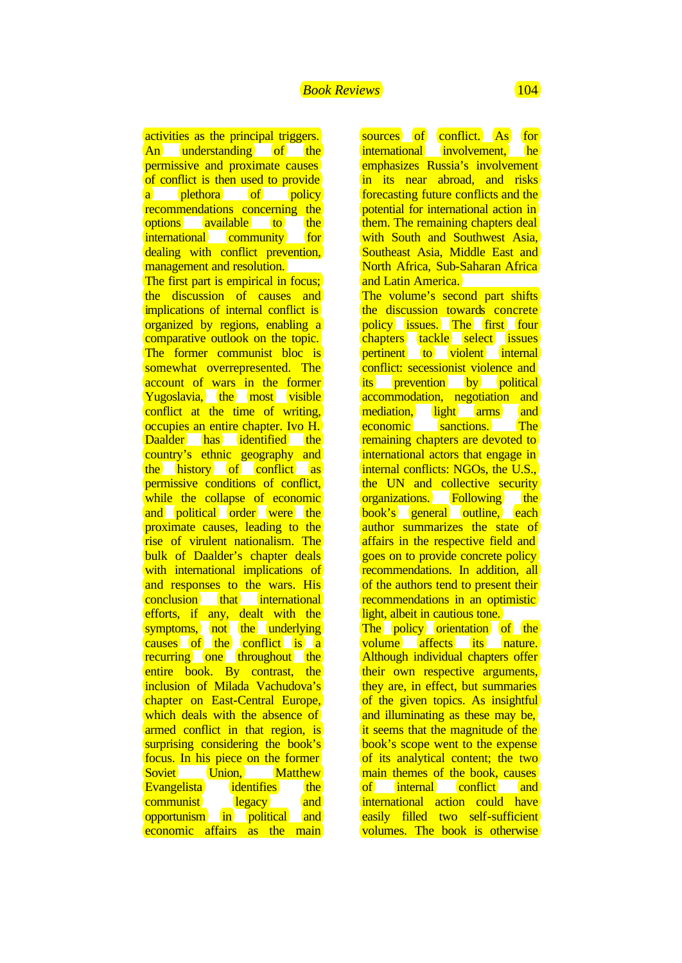activities as the principal triggers. An understanding of the permissive and proximate causes of conflict is then used to provide a plethora of policy recommendations concerning the options available to the international community for dealing with conflict prevention, management and resolution. The first part is empirical in focus; the discussion of causes and implications of internal conflict is organized by regions, enabling a comparative outlook on the topic. The former communist bloc is somewhat overrepresented. The account of wars in the former Yugoslavia, the most visible conflict at the time of writing, occupies an entire chapter. Ivo H. Daalder has identified the country's ethnic geography and the history of conflict as permissive conditions of conflict, while the collapse of economic and political order were the proximate causes, leading to the rise of virulent nationalism. The bulk of Daalder's chapter deals with international implications of and responses to the wars. His conclusion that international efforts, if any, dealt with the symptoms, not the underlying causes of the conflict is a recurring one throughout the entire book. By contrast, the inclusion of Milada Vachudova's chapter on East-Central Europe, which deals with the absence of armed conflict in that region, is surprising considering the book's focus. In his piece on the former Soviet Union, Matthew Evangelista identifies the communist legacy and opportunism in political and economic affairs as the main

sources of conflict. As for international involvement. he emphasizes Russia's involvement in its near abroad, and risks forecasting future conflicts and the potential for international action in them. The remaining chapters deal with South and Southwest Asia, Southeast Asia, Middle East and North Africa, Sub-Saharan Africa and Latin America. The volume's second part shifts the discussion towards concrete policy issues. The first four chapters tackle select issues pertinent to violent internal conflict: secessionist violence and its prevention by political accommodation, negotiation and mediation, light arms and economic sanctions. The remaining chapters are devoted to international actors that engage in internal conflicts: NGOs, the U.S., the UN and collective security organizations. Following the book's general outline, each author summarizes the state of affairs in the respective field and goes on to provide concrete policy recommendations. In addition, all of the authors tend to present their recommendations in an optimistic light, albeit in cautious tone. The policy orientation of the volume affects its nature. Although individual chapters offer their own respective arguments,

they are, in effect, but summaries of the given topics. As insightful and illuminating as these may be, it seems that the magnitude of the book's scope went to the expense of its analytical content; the two main themes of the book, causes of internal conflict and international action could have easily filled two self-sufficient volumes. The book is otherwise